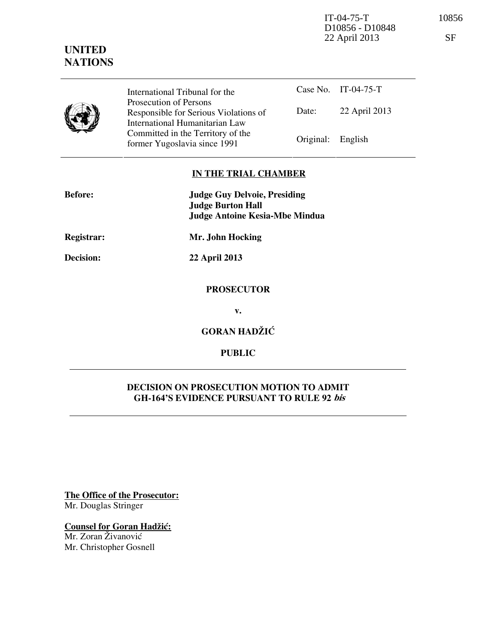IT-04-75-T 10856 D10856 - D10848 22 April 2013 SF

# **UNITED NATIONS**

|  | International Tribunal for the                                                                    |                   | Case No. IT-04-75-T |
|--|---------------------------------------------------------------------------------------------------|-------------------|---------------------|
|  | Prosecution of Persons<br>Responsible for Serious Violations of<br>International Humanitarian Law | Date:             | 22 April 2013       |
|  | Committed in the Territory of the<br>former Yugoslavia since 1991                                 | Original: English |                     |

### **IN THE TRIAL CHAMBER**

| <b>Before:</b> | <b>Judge Guy Delvoie, Presiding</b><br><b>Judge Burton Hall</b> |  |
|----------------|-----------------------------------------------------------------|--|
|                | <b>Judge Antoine Kesia-Mbe Mindua</b>                           |  |
| Registrar:     | Mr. John Hocking                                                |  |
| Decision:      | 22 April 2013                                                   |  |
|                | <b>PROSECUTOR</b>                                               |  |
|                | v.                                                              |  |
|                | <b>GORAN HADŽIĆ</b>                                             |  |

**PUBLIC** 

## **DECISION ON PROSECUTION MOTION TO ADMIT GH-164'S EVIDENCE PURSUANT TO RULE 92 bis**

**The Office of the Prosecutor:** Mr. Douglas Stringer

**Counsel for Goran Hadžić:** Mr. Zoran Živanović

Mr. Christopher Gosnell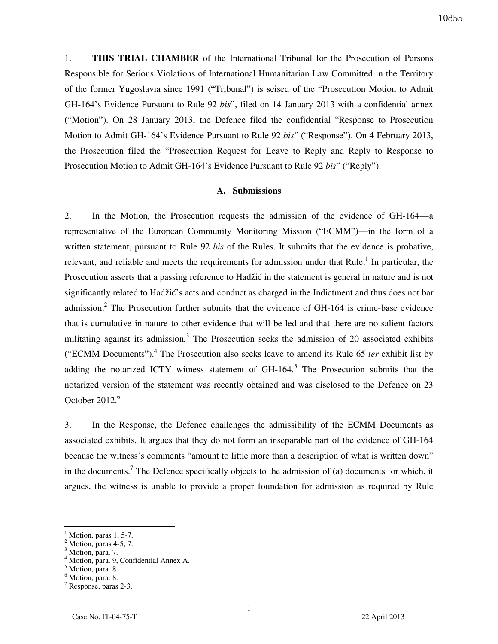10855

1. **THIS TRIAL CHAMBER** of the International Tribunal for the Prosecution of Persons Responsible for Serious Violations of International Humanitarian Law Committed in the Territory of the former Yugoslavia since 1991 ("Tribunal") is seised of the "Prosecution Motion to Admit GH-164's Evidence Pursuant to Rule 92 *bis*", filed on 14 January 2013 with a confidential annex ("Motion"). On 28 January 2013, the Defence filed the confidential "Response to Prosecution Motion to Admit GH-164's Evidence Pursuant to Rule 92 *bis*" ("Response"). On 4 February 2013, the Prosecution filed the "Prosecution Request for Leave to Reply and Reply to Response to Prosecution Motion to Admit GH-164's Evidence Pursuant to Rule 92 *bis*" ("Reply").

#### **A. Submissions**

2. In the Motion, the Prosecution requests the admission of the evidence of GH-164—a representative of the European Community Monitoring Mission ("ECMM")—in the form of a written statement, pursuant to Rule 92 *bis* of the Rules. It submits that the evidence is probative, relevant, and reliable and meets the requirements for admission under that Rule.<sup>1</sup> In particular, the Prosecution asserts that a passing reference to Hadžić in the statement is general in nature and is not significantly related to Hadžić's acts and conduct as charged in the Indictment and thus does not bar admission.<sup>2</sup> The Prosecution further submits that the evidence of GH-164 is crime-base evidence that is cumulative in nature to other evidence that will be led and that there are no salient factors militating against its admission*.* 3 The Prosecution seeks the admission of 20 associated exhibits ("ECMM Documents").<sup>4</sup> The Prosecution also seeks leave to amend its Rule 65 *ter* exhibit list by adding the notarized ICTY witness statement of  $GH-164$ <sup>5</sup>. The Prosecution submits that the notarized version of the statement was recently obtained and was disclosed to the Defence on 23 October  $2012.<sup>6</sup>$ 

3. In the Response, the Defence challenges the admissibility of the ECMM Documents as associated exhibits. It argues that they do not form an inseparable part of the evidence of GH-164 because the witness's comments "amount to little more than a description of what is written down" in the documents.<sup>7</sup> The Defence specifically objects to the admission of (a) documents for which, it argues, the witness is unable to provide a proper foundation for admission as required by Rule

<sup>1</sup> Motion, paras 1, 5-7.

<sup>2</sup> Motion, paras 4-5, 7. 3

Motion, para. 7.

<sup>4</sup> Motion, para. 9, Confidential Annex A.

<sup>5</sup> Motion, para. 8.

<sup>6</sup> Motion, para. 8.

<sup>7</sup> Response, paras 2-3.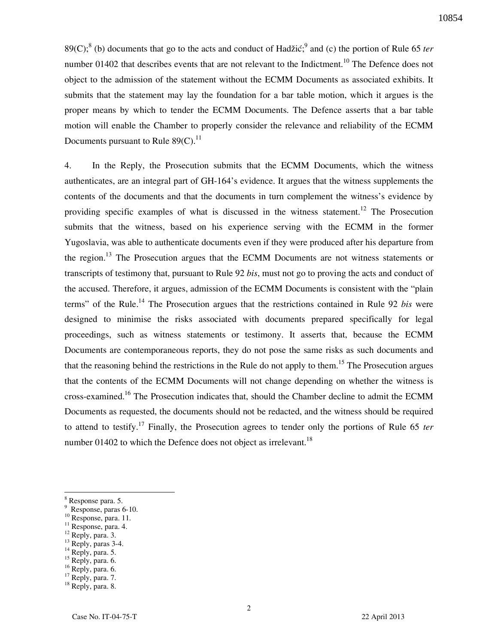89(C);<sup>8</sup> (b) documents that go to the acts and conduct of Hadžić;<sup>9</sup> and (c) the portion of Rule 65 *ter* number 01402 that describes events that are not relevant to the Indictment.<sup>10</sup> The Defence does not object to the admission of the statement without the ECMM Documents as associated exhibits. It submits that the statement may lay the foundation for a bar table motion, which it argues is the proper means by which to tender the ECMM Documents. The Defence asserts that a bar table motion will enable the Chamber to properly consider the relevance and reliability of the ECMM Documents pursuant to Rule  $89(C).^{11}$ 

4. In the Reply, the Prosecution submits that the ECMM Documents, which the witness authenticates, are an integral part of GH-164's evidence. It argues that the witness supplements the contents of the documents and that the documents in turn complement the witness's evidence by providing specific examples of what is discussed in the witness statement.<sup>12</sup> The Prosecution submits that the witness, based on his experience serving with the ECMM in the former Yugoslavia, was able to authenticate documents even if they were produced after his departure from the region.<sup>13</sup> The Prosecution argues that the ECMM Documents are not witness statements or transcripts of testimony that, pursuant to Rule 92 *bis*, must not go to proving the acts and conduct of the accused. Therefore, it argues, admission of the ECMM Documents is consistent with the "plain terms" of the Rule.<sup>14</sup> The Prosecution argues that the restrictions contained in Rule 92 *bis* were designed to minimise the risks associated with documents prepared specifically for legal proceedings, such as witness statements or testimony. It asserts that, because the ECMM Documents are contemporaneous reports, they do not pose the same risks as such documents and that the reasoning behind the restrictions in the Rule do not apply to them.<sup>15</sup> The Prosecution argues that the contents of the ECMM Documents will not change depending on whether the witness is cross-examined.<sup>16</sup> The Prosecution indicates that, should the Chamber decline to admit the ECMM Documents as requested, the documents should not be redacted, and the witness should be required to attend to testify.<sup>17</sup> Finally, the Prosecution agrees to tender only the portions of Rule 65 *ter* number 01402 to which the Defence does not object as irrelevant.<sup>18</sup>

-

- $11$  Response, para. 4.
- $12$  Reply, para. 3.
- $13$  Reply, paras 3-4.
- $14$  Reply, para. 5.

<sup>16</sup> Reply, para. 6.

<sup>8</sup> Response para. 5.

<sup>9</sup> Response, paras 6-10.

 $^{10}$  Response, para. 11.

 $15$  Reply, para. 6.

<sup>&</sup>lt;sup>17</sup> Reply, para. 7.

<sup>&</sup>lt;sup>18</sup> Reply, para. 8.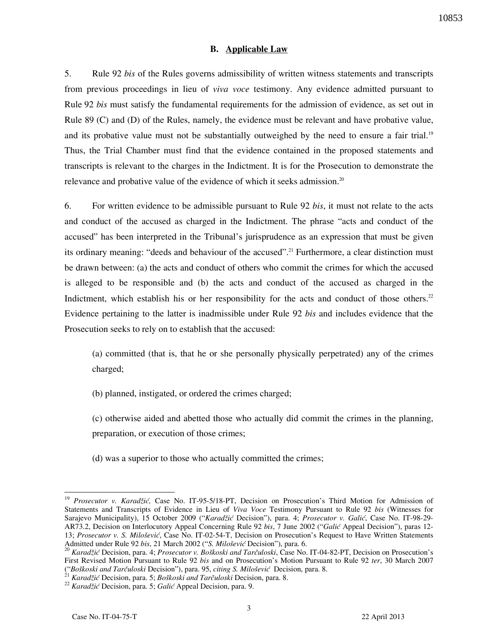#### **B. Applicable Law**

5. Rule 92 *bis* of the Rules governs admissibility of written witness statements and transcripts from previous proceedings in lieu of *viva voce* testimony. Any evidence admitted pursuant to Rule 92 *bis* must satisfy the fundamental requirements for the admission of evidence, as set out in Rule 89 (C) and (D) of the Rules, namely, the evidence must be relevant and have probative value, and its probative value must not be substantially outweighed by the need to ensure a fair trial.<sup>19</sup> Thus, the Trial Chamber must find that the evidence contained in the proposed statements and transcripts is relevant to the charges in the Indictment. It is for the Prosecution to demonstrate the relevance and probative value of the evidence of which it seeks admission.<sup>20</sup>

6. For written evidence to be admissible pursuant to Rule 92 *bis*, it must not relate to the acts and conduct of the accused as charged in the Indictment. The phrase "acts and conduct of the accused" has been interpreted in the Tribunal's jurisprudence as an expression that must be given its ordinary meaning: "deeds and behaviour of the accused".<sup>21</sup> Furthermore, a clear distinction must be drawn between: (a) the acts and conduct of others who commit the crimes for which the accused is alleged to be responsible and (b) the acts and conduct of the accused as charged in the Indictment, which establish his or her responsibility for the acts and conduct of those others.<sup>22</sup> Evidence pertaining to the latter is inadmissible under Rule 92 *bis* and includes evidence that the Prosecution seeks to rely on to establish that the accused:

(a) committed (that is, that he or she personally physically perpetrated) any of the crimes charged;

(b) planned, instigated, or ordered the crimes charged;

(c) otherwise aided and abetted those who actually did commit the crimes in the planning, preparation, or execution of those crimes;

(d) was a superior to those who actually committed the crimes;

<sup>-</sup><sup>19</sup> *Prosecutor v. Karadžić,* Case No. IT-95-5/18-PT, Decision on Prosecution's Third Motion for Admission of Statements and Transcripts of Evidence in Lieu of *Viva Voce* Testimony Pursuant to Rule 92 *bis* (Witnesses for Sarajevo Municipality), 15 October 2009 ("*Karadžić* Decision"), para. 4; *Prosecutor v. Galić*, Case No. IT-98-29- AR73.2, Decision on Interlocutory Appeal Concerning Rule 92 *bis*, 7 June 2002 ("*Galić* Appeal Decision"), paras 12- 13; *Prosecutor v. S. Milošević*, Case No. IT-02-54-T, Decision on Prosecution's Request to Have Written Statements Admitted under Rule 92 *bis*, 21 March 2002 ("*S. Milo{ević* Decision"), para. 6.

<sup>&</sup>lt;sup>20</sup> *Karadžić Decision, para. 4; Prosecutor v. Boškoski and Tarčuloski, Case No. IT-04-82-PT, Decision on Prosecution's* First Revised Motion Pursuant to Rule 92 *bis* and on Prosecution's Motion Pursuant to Rule 92 *ter*, 30 March 2007 ("*Boškoski and Tarčuloski Decision"*), para. 95, *citing S. Milošević Decision*, para. 8.

Karadžić Decision, para. 5; Boškoski and Tarčuloski Decision, para. 8.

<sup>22</sup> *Karadžić* Decision, para. 5; *Galić* Appeal Decision, para. 9.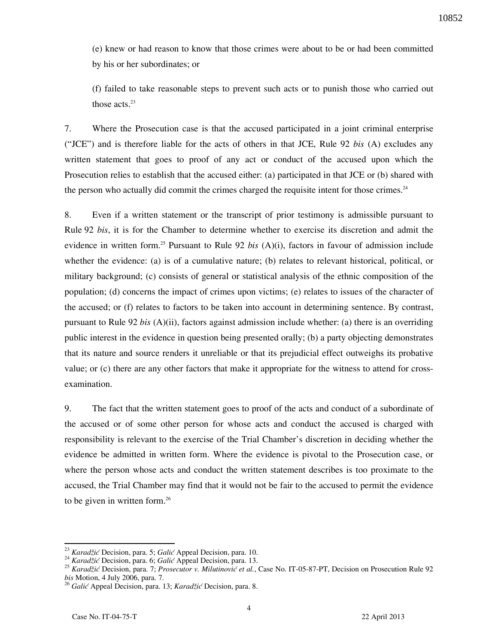(e) knew or had reason to know that those crimes were about to be or had been committed by his or her subordinates; or

(f) failed to take reasonable steps to prevent such acts or to punish those who carried out those acts.<sup>23</sup>

7. Where the Prosecution case is that the accused participated in a joint criminal enterprise ("JCE") and is therefore liable for the acts of others in that JCE, Rule 92 *bis* (A) excludes any written statement that goes to proof of any act or conduct of the accused upon which the Prosecution relies to establish that the accused either: (a) participated in that JCE or (b) shared with the person who actually did commit the crimes charged the requisite intent for those crimes.<sup>24</sup>

8. Even if a written statement or the transcript of prior testimony is admissible pursuant to Rule 92 *bis*, it is for the Chamber to determine whether to exercise its discretion and admit the evidence in written form.<sup>25</sup> Pursuant to Rule 92 *bis* (A)(i), factors in favour of admission include whether the evidence: (a) is of a cumulative nature; (b) relates to relevant historical, political, or military background; (c) consists of general or statistical analysis of the ethnic composition of the population; (d) concerns the impact of crimes upon victims; (e) relates to issues of the character of the accused; or (f) relates to factors to be taken into account in determining sentence. By contrast, pursuant to Rule 92 *bis* (A)(ii), factors against admission include whether: (a) there is an overriding public interest in the evidence in question being presented orally; (b) a party objecting demonstrates that its nature and source renders it unreliable or that its prejudicial effect outweighs its probative value; or (c) there are any other factors that make it appropriate for the witness to attend for crossexamination.

9. The fact that the written statement goes to proof of the acts and conduct of a subordinate of the accused or of some other person for whose acts and conduct the accused is charged with responsibility is relevant to the exercise of the Trial Chamber's discretion in deciding whether the evidence be admitted in written form. Where the evidence is pivotal to the Prosecution case, or where the person whose acts and conduct the written statement describes is too proximate to the accused, the Trial Chamber may find that it would not be fair to the accused to permit the evidence to be given in written form.<sup>26</sup>

<sup>23</sup> *Karadžić* Decision, para. 5; *Galić* Appeal Decision, para. 10.

<sup>24</sup> *Karadžić* Decision, para. 6; *Galić* Appeal Decision, para. 13.

<sup>25</sup> *Karadžić* Decision, para. 7; *Prosecutor v. Milutinović et al.*, Case No. IT-05-87-PT, Decision on Prosecution Rule 92 *bis* Motion, 4 July 2006, para. 7.

<sup>26</sup> *Galić* Appeal Decision, para. 13; *Karadžić* Decision, para. 8.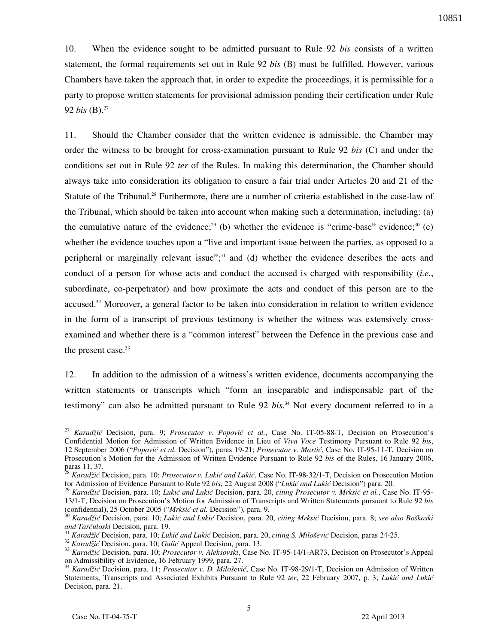10. When the evidence sought to be admitted pursuant to Rule 92 *bis* consists of a written statement, the formal requirements set out in Rule 92 *bis* (B) must be fulfilled. However, various Chambers have taken the approach that, in order to expedite the proceedings, it is permissible for a party to propose written statements for provisional admission pending their certification under Rule 92 *bis*  $(B)$ .<sup>27</sup>

11. Should the Chamber consider that the written evidence is admissible, the Chamber may order the witness to be brought for cross-examination pursuant to Rule 92 *bis* (C) and under the conditions set out in Rule 92 *ter* of the Rules. In making this determination, the Chamber should always take into consideration its obligation to ensure a fair trial under Articles 20 and 21 of the Statute of the Tribunal.<sup>28</sup> Furthermore, there are a number of criteria established in the case-law of the Tribunal, which should be taken into account when making such a determination, including: (a) the cumulative nature of the evidence;<sup>29</sup> (b) whether the evidence is "crime-base" evidence;<sup>30</sup> (c) whether the evidence touches upon a "live and important issue between the parties, as opposed to a peripheral or marginally relevant issue";<sup>31</sup> and (d) whether the evidence describes the acts and conduct of a person for whose acts and conduct the accused is charged with responsibility (*i.e.*, subordinate, co-perpetrator) and how proximate the acts and conduct of this person are to the accused.<sup>32</sup> Moreover, a general factor to be taken into consideration in relation to written evidence in the form of a transcript of previous testimony is whether the witness was extensively crossexamined and whether there is a "common interest" between the Defence in the previous case and the present case. $33$ 

12. In addition to the admission of a witness's written evidence, documents accompanying the written statements or transcripts which "form an inseparable and indispensable part of the testimony" can also be admitted pursuant to Rule 92 *bis*. <sup>34</sup> Not every document referred to in a

<sup>-</sup><sup>27</sup> *Karadžić* Decision, para. 9; *Prosecutor v. Popović et al.*, Case No. IT-05-88-T, Decision on Prosecution's Confidential Motion for Admission of Written Evidence in Lieu of *Viva Voce* Testimony Pursuant to Rule 92 *bis*, 12 September 2006 ("*Popović et al.* Decision"), paras 19-21; *Prosecutor v. Martić*, Case No. IT-95-11-T, Decision on Prosecution's Motion for the Admission of Written Evidence Pursuant to Rule 92 *bis* of the Rules, 16 January 2006, paras 11, 37.

<sup>28</sup> *Karadžić* Decision, para. 10; *Prosecutor v. Lukić and Lukić*, Case No. IT-98-32/1-T, Decision on Prosecution Motion for Admission of Evidence Pursuant to Rule 92 *bis*, 22 August 2008 ("*Lukić and Lukić* Decision") para. 20.

<sup>29</sup> *Karadžić* Decision, para. 10; *Lukić and Lukić* Decision, para. 20, *citing Prosecutor v. Mrksić et al.*, Case No. IT-95- 13/1-T, Decision on Prosecution's Motion for Admission of Transcripts and Written Statements pursuant to Rule 92 *bis*  (confidential), 25 October 2005 ("*Mrksić et al.* Decision"), para. 9.

<sup>30</sup> *Karadžić* Decision, para. 10; *Lukić and Lukić* Decision, para. 20, *citing Mrksić* Decision, para. 8; *see also Bo{koski and Tarčuloski Decision, para. 19.* 

<sup>31</sup> *Karadžić* Decision, para. 10; *Lukić and Lukić* Decision, para. 20, *citing S. Milo{ević* Decision, paras 24-25.

<sup>32</sup> *Karadžić* Decision, para. 10; *Galić* Appeal Decision, para. 13.

<sup>33</sup> *Karadžić* Decision, para. 10; *Prosecutor v. Aleksovski*, Case No. IT-95-14/1-AR73, Decision on Prosecutor's Appeal on Admissibility of Evidence, 16 February 1999, para. 27.

<sup>34</sup> *Karadžić* Decision, para. 11; *Prosecutor v. D. Milo{ević*, Case No. IT-98-29/1-T, Decision on Admission of Written Statements, Transcripts and Associated Exhibits Pursuant to Rule 92 *ter*, 22 February 2007, p. 3; *Lukić and Lukić* Decision, para. 21.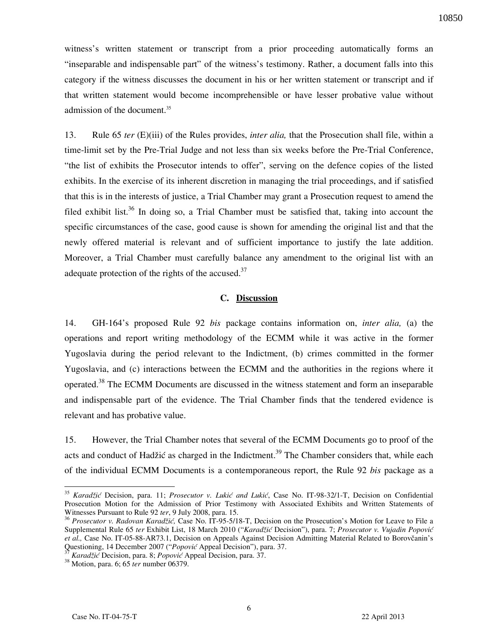witness's written statement or transcript from a prior proceeding automatically forms an "inseparable and indispensable part" of the witness's testimony. Rather, a document falls into this category if the witness discusses the document in his or her written statement or transcript and if that written statement would become incomprehensible or have lesser probative value without admission of the document.<sup>35</sup>

13. Rule 65 *ter* (E)(iii) of the Rules provides, *inter alia,* that the Prosecution shall file, within a time-limit set by the Pre-Trial Judge and not less than six weeks before the Pre-Trial Conference, "the list of exhibits the Prosecutor intends to offer", serving on the defence copies of the listed exhibits. In the exercise of its inherent discretion in managing the trial proceedings, and if satisfied that this is in the interests of justice, a Trial Chamber may grant a Prosecution request to amend the filed exhibit list.<sup>36</sup> In doing so, a Trial Chamber must be satisfied that, taking into account the specific circumstances of the case, good cause is shown for amending the original list and that the newly offered material is relevant and of sufficient importance to justify the late addition. Moreover, a Trial Chamber must carefully balance any amendment to the original list with an adequate protection of the rights of the accused. $37$ 

#### **C. Discussion**

14. GH-164's proposed Rule 92 *bis* package contains information on, *inter alia,* (a) the operations and report writing methodology of the ECMM while it was active in the former Yugoslavia during the period relevant to the Indictment, (b) crimes committed in the former Yugoslavia, and (c) interactions between the ECMM and the authorities in the regions where it operated.<sup>38</sup> The ECMM Documents are discussed in the witness statement and form an inseparable and indispensable part of the evidence. The Trial Chamber finds that the tendered evidence is relevant and has probative value.

15. However, the Trial Chamber notes that several of the ECMM Documents go to proof of the acts and conduct of Hadžić as charged in the Indictment.<sup>39</sup> The Chamber considers that, while each of the individual ECMM Documents is a contemporaneous report, the Rule 92 *bis* package as a

<sup>35</sup> *Karadžić* Decision, para. 11; *Prosecutor v. Lukić and Lukić*, Case No. IT-98-32/1-T, Decision on Confidential Prosecution Motion for the Admission of Prior Testimony with Associated Exhibits and Written Statements of Witnesses Pursuant to Rule 92 *ter*, 9 July 2008, para. 15.

<sup>36</sup> *Prosecutor v. Radovan Karadžić,* Case No. IT-95-5/18-T, Decision on the Prosecution's Motion for Leave to File a Supplemental Rule 65 *ter* Exhibit List, 18 March 2010 ("*Karadžić* Decision"), para. 7; *Prosecutor v. Vujadin Popović et al.,* Case No. IT-05-88-AR73.1, Decision on Appeals Against Decision Admitting Material Related to Borovčanin's Questioning, 14 December 2007 ("*Popović* Appeal Decision"), para. 37.

<sup>37</sup> *Karadžić* Decision, para. 8; *Popović* Appeal Decision, para. 37.

<sup>38</sup> Motion, para. 6; 65 *ter* number 06379.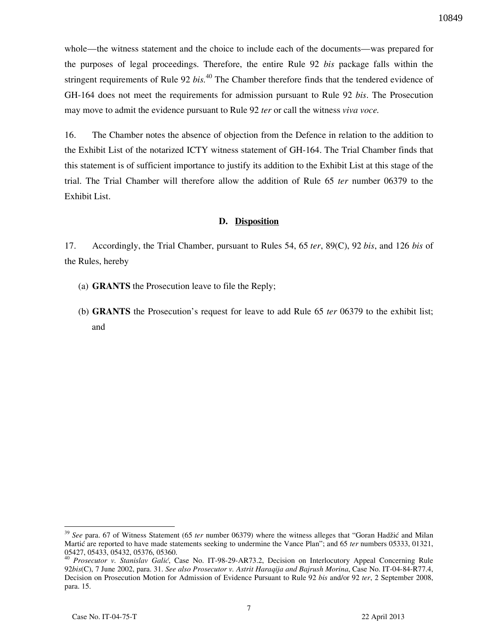whole—the witness statement and the choice to include each of the documents—was prepared for the purposes of legal proceedings. Therefore, the entire Rule 92 *bis* package falls within the stringent requirements of Rule 92 *bis.*<sup>40</sup> The Chamber therefore finds that the tendered evidence of GH-164 does not meet the requirements for admission pursuant to Rule 92 *bis*. The Prosecution may move to admit the evidence pursuant to Rule 92 *ter* or call the witness *viva voce.* 

16. The Chamber notes the absence of objection from the Defence in relation to the addition to the Exhibit List of the notarized ICTY witness statement of GH-164. The Trial Chamber finds that this statement is of sufficient importance to justify its addition to the Exhibit List at this stage of the trial. The Trial Chamber will therefore allow the addition of Rule 65 *ter* number 06379 to the Exhibit List.

#### **D. Disposition**

17. Accordingly, the Trial Chamber, pursuant to Rules 54, 65 *ter*, 89(C), 92 *bis*, and 126 *bis* of the Rules, hereby

- (a) **GRANTS** the Prosecution leave to file the Reply;
- (b) **GRANTS** the Prosecution's request for leave to add Rule 65 *ter* 06379 to the exhibit list; and

<sup>&</sup>lt;sup>39</sup> See para. 67 of Witness Statement (65 *ter* number 06379) where the witness alleges that "Goran Hadžić and Milan Martic are reported to have made statements seeking to undermine the Vance Plan"; and 65 *ter* numbers 05333, 01321, 05427, 05433, 05432, 05376, 05360.

<sup>&</sup>lt;sup>40</sup> Prosecutor v. Stanislav Galić, Case No. IT-98-29-AR73.2, Decision on Interlocutory Appeal Concerning Rule 92*bis*(C), 7 June 2002, para. 31. *See also Prosecutor v. Astrit Haraqija and Bajrush Morina*, Case No. IT-04-84-R77.4, Decision on Prosecution Motion for Admission of Evidence Pursuant to Rule 92 *bis* and/or 92 *ter*, 2 September 2008, para. 15.